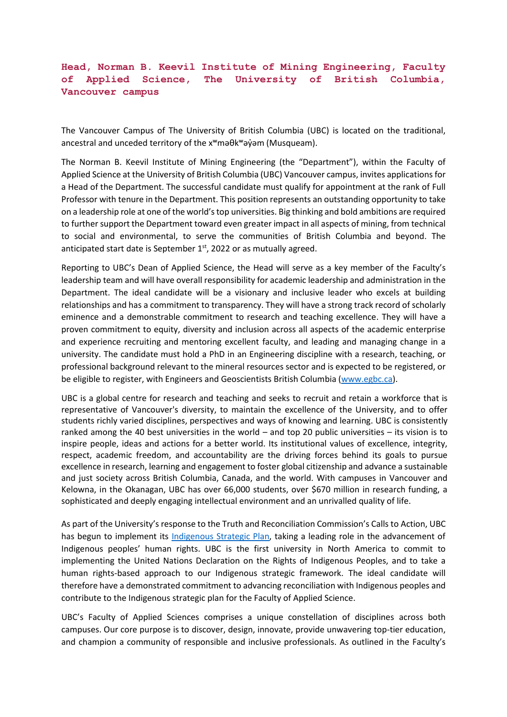## **Head, Norman B. Keevil Institute of Mining Engineering, Faculty of Applied Science, The University of British Columbia, Vancouver campus**

The Vancouver Campus of The University of British Columbia (UBC) is located on the traditional, ancestral and unceded territory of the x<sup>w</sup>maθk<sup>w</sup>ayvam (Musqueam).

The Norman B. Keevil Institute of Mining Engineering (the "Department"), within the Faculty of Applied Science at the University of British Columbia (UBC) Vancouver campus, invites applications for a Head of the Department. The successful candidate must qualify for appointment at the rank of Full Professor with tenure in the Department. This position represents an outstanding opportunity to take on a leadership role at one of the world's top universities. Big thinking and bold ambitions are required to further support the Department toward even greater impact in all aspects of mining, from technical to social and environmental, to serve the communities of British Columbia and beyond. The anticipated start date is September  $1<sup>st</sup>$ , 2022 or as mutually agreed.

Reporting to UBC's Dean of Applied Science, the Head will serve as a key member of the Faculty's leadership team and will have overall responsibility for academic leadership and administration in the Department. The ideal candidate will be a visionary and inclusive leader who excels at building relationships and has a commitment to transparency. They will have a strong track record of scholarly eminence and a demonstrable commitment to research and teaching excellence. They will have a proven commitment to equity, diversity and inclusion across all aspects of the academic enterprise and experience recruiting and mentoring excellent faculty, and leading and managing change in a university. The candidate must hold a PhD in an Engineering discipline with a research, teaching, or professional background relevant to the mineral resources sector and is expected to be registered, or be eligible to register, with Engineers and Geoscientists British Columbia [\(www.egbc.ca\)](http://www.egbc.ca/).

UBC is a global centre for research and teaching and seeks to recruit and retain a workforce that is representative of Vancouver's diversity, to maintain the excellence of the University, and to offer students richly varied disciplines, perspectives and ways of knowing and learning. UBC is consistently ranked among the 40 best universities in the world – and top 20 public universities – its vision is to inspire people, ideas and actions for a better world. Its institutional values of excellence, integrity, respect, academic freedom, and accountability are the driving forces behind its goals to pursue excellence in research, learning and engagement to foster global citizenship and advance a sustainable and just society across British Columbia, Canada, and the world. With campuses in Vancouver and Kelowna, in the Okanagan, UBC has over 66,000 students, over \$670 million in research funding, a sophisticated and deeply engaging intellectual environment and an unrivalled quality of life.

As part of the University's response to the Truth and Reconciliation Commission's Calls to Action, UBC has begun to implement its [Indigenous Strategic Plan,](https://aboriginal-2018.sites.olt.ubc.ca/files/2021/06/2021_6_22_UBC.ISP_StrategicPlan2020-SINGLE-Borderless-REDUCED.pdf) taking a leading role in the advancement of Indigenous peoples' human rights. UBC is the first university in North America to commit to implementing the United Nations Declaration on the Rights of Indigenous Peoples, and to take a human rights-based approach to our Indigenous strategic framework. The ideal candidate will therefore have a demonstrated commitment to advancing reconciliation with Indigenous peoples and contribute to the Indigenous strategic plan for the Faculty of Applied Science.

UBC's Faculty of Applied Sciences comprises a unique constellation of disciplines across both campuses. Our core purpose is to discover, design, innovate, provide unwavering top-tier education, and champion a community of responsible and inclusive professionals. As outlined in the Faculty's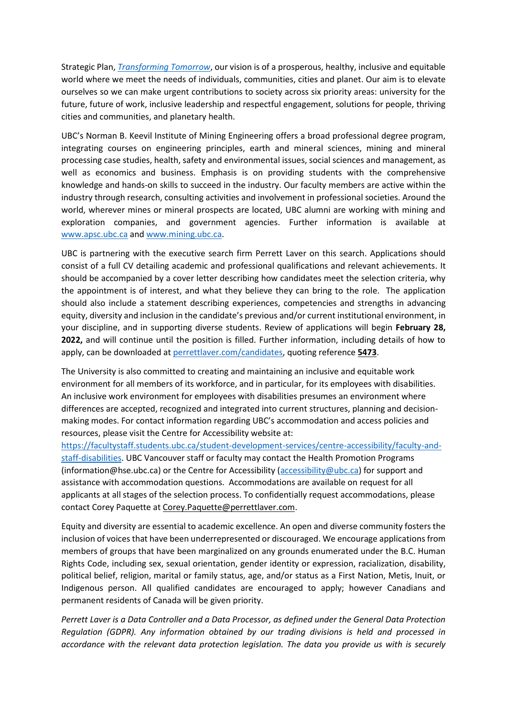Strategic Plan, *[Transforming Tomorrow](https://strategicplan.apsc.ubc.ca/files/2021/03/UBC-APSC-Strategic-Plan.pdf)*, our vision is of a prosperous, healthy, inclusive and equitable world where we meet the needs of individuals, communities, cities and planet. Our aim is to elevate ourselves so we can make urgent contributions to society across six priority areas: university for the future, future of work, inclusive leadership and respectful engagement, solutions for people, thriving cities and communities, and planetary health.

UBC's Norman B. Keevil Institute of Mining Engineering offers a broad professional degree program, integrating courses on engineering principles, earth and mineral sciences, mining and mineral processing case studies, health, safety and environmental issues, social sciences and management, as well as economics and business. Emphasis is on providing students with the comprehensive knowledge and hands-on skills to succeed in the industry. Our faculty members are active within the industry through research, consulting activities and involvement in professional societies. Around the world, wherever mines or mineral prospects are located, UBC alumni are working with mining and exploration companies, and government agencies. Further information is available at [www.apsc.ubc.ca](http://www.apsc.ubc.ca/) and [www.mining.ubc.ca.](http://www.mining.ubc.ca/)

UBC is partnering with the executive search firm Perrett Laver on this search. Applications should consist of a full CV detailing academic and professional qualifications and relevant achievements. It should be accompanied by a cover letter describing how candidates meet the selection criteria, why the appointment is of interest, and what they believe they can bring to the role. The application should also include a statement describing experiences, competencies and strengths in advancing equity, diversity and inclusion in the candidate's previous and/or current institutional environment, in your discipline, and in supporting diverse students. Review of applications will begin **February 28, 2022,** and will continue until the position is filled. Further information, including details of how to apply, can be downloaded at [perrettlaver.com/candidates,](http://www.perrettlaver.com/candidates) quoting reference **5473**.

The University is also committed to creating and maintaining an inclusive and equitable work environment for all members of its workforce, and in particular, for its employees with disabilities. An inclusive work environment for employees with disabilities presumes an environment where differences are accepted, recognized and integrated into current structures, planning and decisionmaking modes. For contact information regarding UBC's accommodation and access policies and resources, please visit the Centre for Accessibility website at:

[https://facultystaff.students.ubc.ca/student-development-services/centre-accessibility/faculty-and](https://facultystaff.students.ubc.ca/student-development-services/centre-accessibility/faculty-and-staff-disabilities)[staff-disabilities.](https://facultystaff.students.ubc.ca/student-development-services/centre-accessibility/faculty-and-staff-disabilities) UBC Vancouver staff or faculty may contact the Health Promotion Programs (information@hse.ubc.ca) or the Centre for Accessibility [\(accessibility@ubc.ca\)](mailto:accessibility@ubc.ca) for support and assistance with accommodation questions. Accommodations are available on request for all applicants at all stages of the selection process. To confidentially request accommodations, please contact Corey Paquette at [Corey.Paquette@perrettlaver.com.](mailto:Corey.Paquette@perrettlaver.com)

Equity and diversity are essential to academic excellence. An open and diverse community fosters the inclusion of voices that have been underrepresented or discouraged. We encourage applications from members of groups that have been marginalized on any grounds enumerated under the B.C. Human Rights Code, including sex, sexual orientation, gender identity or expression, racialization, disability, political belief, religion, marital or family status, age, and/or status as a First Nation, Metis, Inuit, or Indigenous person. All qualified candidates are encouraged to apply; however Canadians and permanent residents of Canada will be given priority.

*Perrett Laver is a Data Controller and a Data Processor, as defined under the General Data Protection Regulation (GDPR). Any information obtained by our trading divisions is held and processed in accordance with the relevant data protection legislation. The data you provide us with is securely*